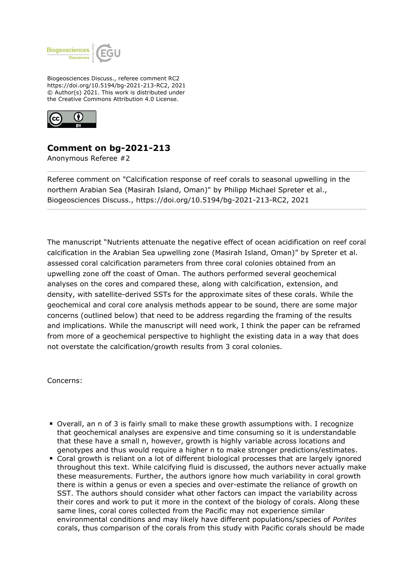

Biogeosciences Discuss., referee comment RC2 https://doi.org/10.5194/bg-2021-213-RC2, 2021 © Author(s) 2021. This work is distributed under the Creative Commons Attribution 4.0 License.



# **Comment on bg-2021-213**

Anonymous Referee #2

Referee comment on "Calcification response of reef corals to seasonal upwelling in the northern Arabian Sea (Masirah Island, Oman)" by Philipp Michael Spreter et al., Biogeosciences Discuss., https://doi.org/10.5194/bg-2021-213-RC2, 2021

The manuscript "Nutrients attenuate the negative effect of ocean acidification on reef coral calcification in the Arabian Sea upwelling zone (Masirah Island, Oman)" by Spreter et al. assessed coral calcification parameters from three coral colonies obtained from an upwelling zone off the coast of Oman. The authors performed several geochemical analyses on the cores and compared these, along with calcification, extension, and density, with satellite-derived SSTs for the approximate sites of these corals. While the geochemical and coral core analysis methods appear to be sound, there are some major concerns (outlined below) that need to be address regarding the framing of the results and implications. While the manuscript will need work, I think the paper can be reframed from more of a geochemical perspective to highlight the existing data in a way that does not overstate the calcification/growth results from 3 coral colonies.

Concerns:

- Overall, an n of 3 is fairly small to make these growth assumptions with. I recognize that geochemical analyses are expensive and time consuming so it is understandable that these have a small n, however, growth is highly variable across locations and genotypes and thus would require a higher n to make stronger predictions/estimates.
- Coral growth is reliant on a lot of different biological processes that are largely ignored throughout this text. While calcifying fluid is discussed, the authors never actually make these measurements. Further, the authors ignore how much variability in coral growth there is within a genus or even a species and over-estimate the reliance of growth on SST. The authors should consider what other factors can impact the variability across their cores and work to put it more in the context of the biology of corals. Along these same lines, coral cores collected from the Pacific may not experience similar environmental conditions and may likely have different populations/species of *Porites* corals, thus comparison of the corals from this study with Pacific corals should be made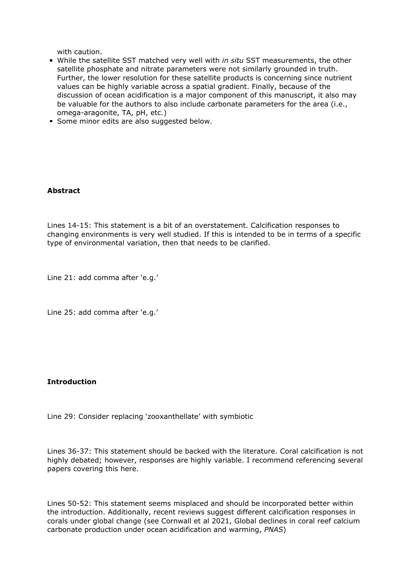with caution.

- While the satellite SST matched very well with *in situ* SST measurements, the other satellite phosphate and nitrate parameters were not similarly grounded in truth. Further, the lower resolution for these satellite products is concerning since nutrient values can be highly variable across a spatial gradient. Finally, because of the discussion of ocean acidification is a major component of this manuscript, it also may be valuable for the authors to also include carbonate parameters for the area (i.e., omega-aragonite, TA, pH, etc.)
- Some minor edits are also suggested below.

# **Abstract**

Lines 14-15: This statement is a bit of an overstatement. Calcification responses to changing environments is very well studied. If this is intended to be in terms of a specific type of environmental variation, then that needs to be clarified.

Line 21: add comma after 'e.g.'

Line 25: add comma after 'e.g.'

# **Introduction**

Line 29: Consider replacing 'zooxanthellate' with symbiotic

Lines 36-37: This statement should be backed with the literature. Coral calcification is not highly debated; however, responses are highly variable. I recommend referencing several papers covering this here.

Lines 50-52: This statement seems misplaced and should be incorporated better within the introduction. Additionally, recent reviews suggest different calcification responses in corals under global change (see Cornwall et al 2021, Global declines in coral reef calcium carbonate production under ocean acidification and warming, *PNAS*)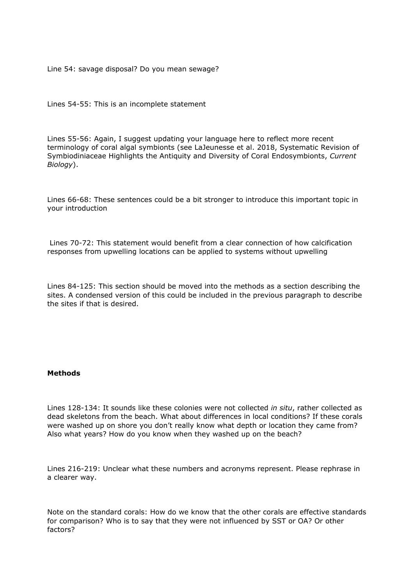Line 54: savage disposal? Do you mean sewage?

Lines 54-55: This is an incomplete statement

Lines 55-56: Again, I suggest updating your language here to reflect more recent terminology of coral algal symbionts (see LaJeunesse et al. 2018, Systematic Revision of Symbiodiniaceae Highlights the Antiquity and Diversity of Coral Endosymbionts, *Current Biology*).

Lines 66-68: These sentences could be a bit stronger to introduce this important topic in your introduction

 Lines 70-72: This statement would benefit from a clear connection of how calcification responses from upwelling locations can be applied to systems without upwelling

Lines 84-125: This section should be moved into the methods as a section describing the sites. A condensed version of this could be included in the previous paragraph to describe the sites if that is desired.

# **Methods**

Lines 128-134: It sounds like these colonies were not collected *in situ*, rather collected as dead skeletons from the beach. What about differences in local conditions? If these corals were washed up on shore you don't really know what depth or location they came from? Also what years? How do you know when they washed up on the beach?

Lines 216-219: Unclear what these numbers and acronyms represent. Please rephrase in a clearer way.

Note on the standard corals: How do we know that the other corals are effective standards for comparison? Who is to say that they were not influenced by SST or OA? Or other factors?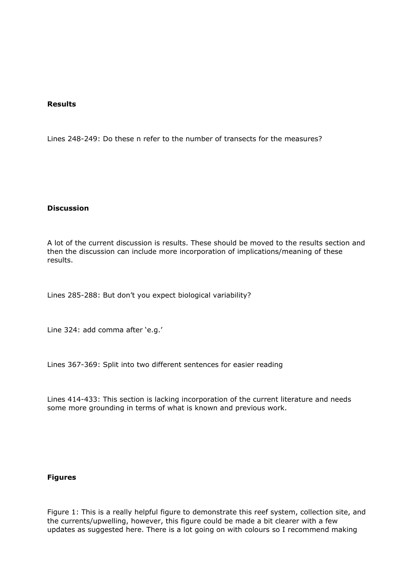#### **Results**

Lines 248-249: Do these n refer to the number of transects for the measures?

#### **Discussion**

A lot of the current discussion is results. These should be moved to the results section and then the discussion can include more incorporation of implications/meaning of these results.

Lines 285-288: But don't you expect biological variability?

Line 324: add comma after 'e.g.'

Lines 367-369: Split into two different sentences for easier reading

Lines 414-433: This section is lacking incorporation of the current literature and needs some more grounding in terms of what is known and previous work.

# **Figures**

Figure 1: This is a really helpful figure to demonstrate this reef system, collection site, and the currents/upwelling, however, this figure could be made a bit clearer with a few updates as suggested here. There is a lot going on with colours so I recommend making